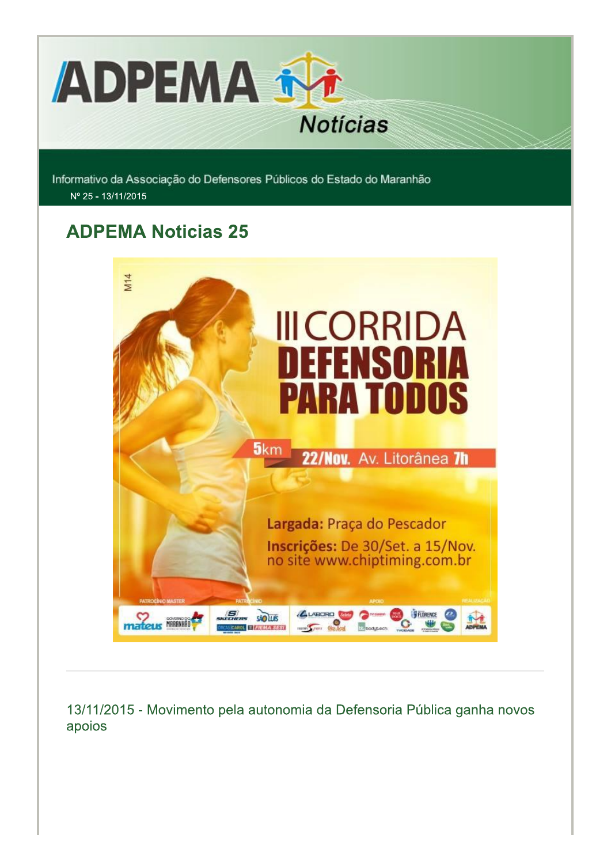

Informativo da Associação do Defensores Públicos do Estado do Maranhão Nº 25 - 13/11/2015

# **ADPEMA Noticias 25**



13/11/2015 - Movimento pela autonomia da Defensoria Pública ganha novos apoios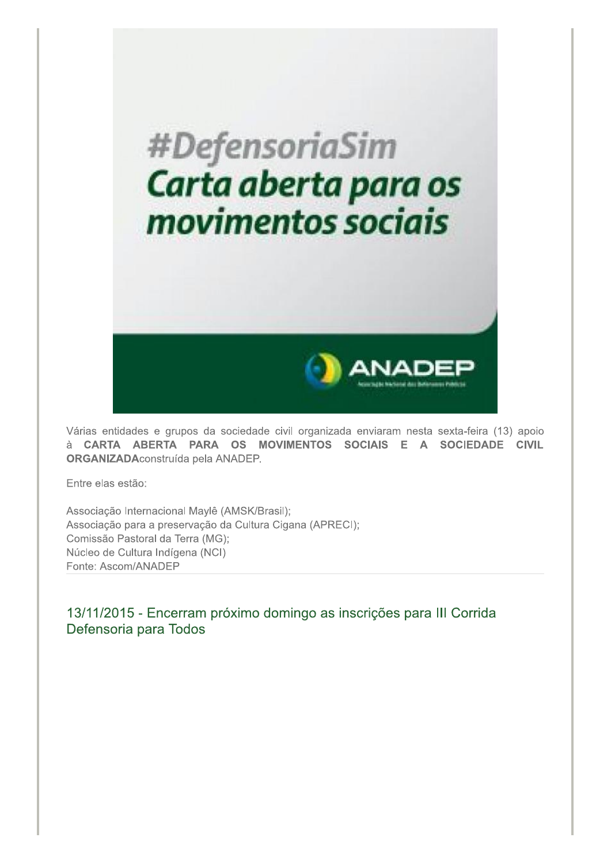

Várias entidades e grupos da sociedade civil organizada enviaram nesta sexta-feira (13) apoio à CARTA ABERTA PARA OS MOVIMENTOS SOCIAIS E A SOCIEDADE CIVIL ORGANIZADAconstruída pela ANADEP.

Entre elas estão:

Associação Internacional Maylê (AMSK/Brasil); Associação para a preservação da Cultura Cigana (APRECI); Comissão Pastoral da Terra (MG); Núcleo de Cultura Indígena (NCI) Fonte: Ascom/ANADEP

13/11/2015 - Encerram próximo domingo as inscrições para III Corrida Defensoria para Todos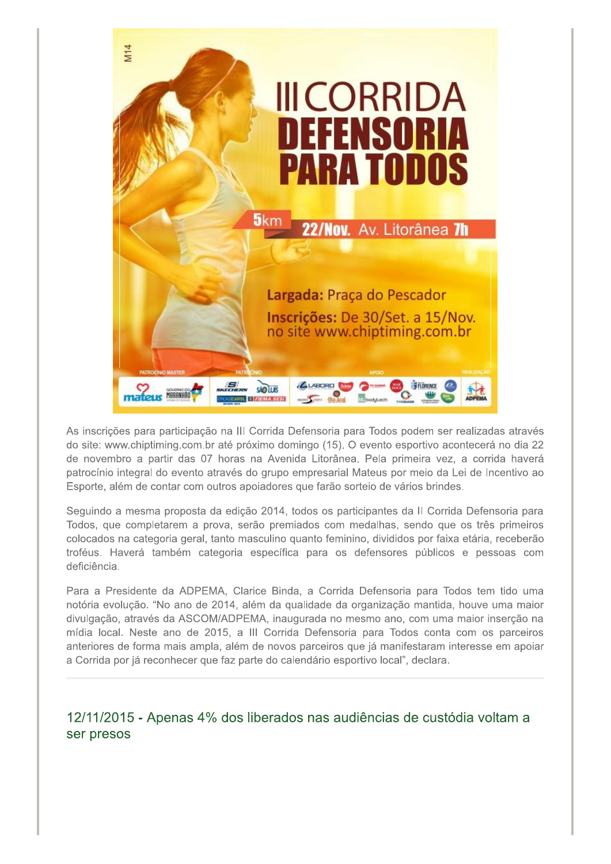

As inscrições para participação na III Corrida Defensoria para Todos podem ser realizadas através do site: www.chiptiming.com.br até próximo domingo (15). O evento esportivo acontecerá no dia 22 de novembro a partir das 07 horas na Avenida Litorânea. Pela primeira vez, a corrida haverá patrocínio integral do evento através do grupo empresarial Mateus por meio da Lei de Incentivo ao Esporte, além de contar com outros apoiadores que farão sorteio de vários brindes.

Seguindo a mesma proposta da edição 2014, todos os participantes da II Corrida Defensoria para Todos, que completarem a prova, serão premiados com medalhas, sendo que os três primeiros colocados na categoria geral, tanto masculino guanto feminino, divididos por faixa etária, receberão troféus. Haverá também categoria específica para os defensores públicos e pessoas com deficiência.

Para a Presidente da ADPEMA, Clarice Binda, a Corrida Defensoria para Todos tem tido uma notória evolução. "No ano de 2014, além da qualidade da organização mantida, houve uma maior divulgação, através da ASCOM/ADPEMA, inaugurada no mesmo ano, com uma maior inserção na mídia local. Neste ano de 2015, a III Corrida Defensoria para Todos conta com os parceiros anteriores de forma mais ampla, além de novos parceiros que já manifestaram interesse em apoiar a Corrida por já reconhecer que faz parte do calendário esportivo local", declara.

12/11/2015 - Apenas 4% dos liberados nas audiências de custódia voltam a ser presos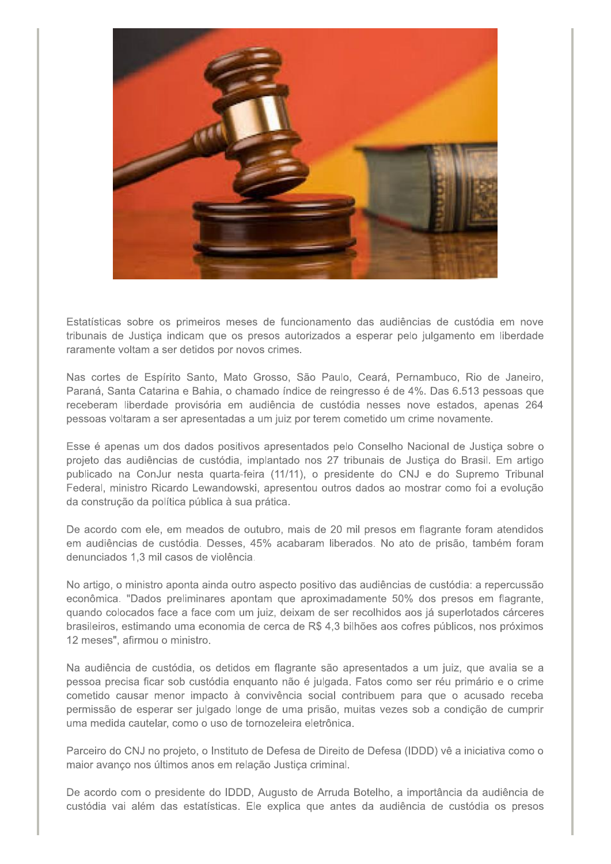

Estatísticas sobre os primeiros meses de funcionamento das audiências de custódia em nove tribunais de Justiça indicam que os presos autorizados a esperar pelo julgamento em liberdade raramente voltam a ser detidos por novos crimes.

Nas cortes de Espírito Santo, Mato Grosso, São Paulo, Ceará, Pernambuco, Rio de Janeiro, Paraná, Santa Catarina e Bahia, o chamado índice de reingresso é de 4%. Das 6.513 pessoas que receberam liberdade provisória em audiência de custódia nesses nove estados, apenas 264 pessoas voltaram a ser apresentadas a um juiz por terem cometido um crime novamente.

Esse é apenas um dos dados positivos apresentados pelo Conselho Nacional de Justica sobre o projeto das audiências de custódia, implantado nos 27 tribunais de Justica do Brasil. Em artigo publicado na ConJur nesta quarta-feira (11/11), o presidente do CNJ e do Supremo Tribunal Federal, ministro Ricardo Lewandowski, apresentou outros dados ao mostrar como foi a evolução da construção da política pública à sua prática.

De acordo com ele, em meados de outubro, mais de 20 mil presos em flagrante foram atendidos em audiências de custódia. Desses, 45% acabaram liberados. No ato de prisão, também foram denunciados 1.3 mil casos de violência.

No artigo, o ministro aponta ainda outro aspecto positivo das audiências de custódia: a repercussão econômica. "Dados preliminares apontam que aproximadamente 50% dos presos em flagrante, quando colocados face a face com um juiz, deixam de ser recolhidos aos já superlotados cárceres brasileiros, estimando uma economia de cerca de R\$ 4,3 bilhões aos cofres públicos, nos próximos 12 meses", afirmou o ministro.

Na audiência de custódia, os detidos em flagrante são apresentados a um juiz, que avalia se a pessoa precisa ficar sob custódia enquanto não é julgada. Fatos como ser réu primário e o crime cometido causar menor impacto à convivência social contribuem para que o acusado receba permissão de esperar ser julgado longe de uma prisão, muitas vezes sob a condição de cumprir uma medida cautelar, como o uso de tornozeleira eletrônica.

Parceiro do CNJ no projeto, o Instituto de Defesa de Direito de Defesa (IDDD) vê a iniciativa como o maior avanço nos últimos anos em relação Justiça criminal.

De acordo com o presidente do IDDD, Augusto de Arruda Botelho, a importância da audiência de custódia vai além das estatísticas. Ele explica que antes da audiência de custódia os presos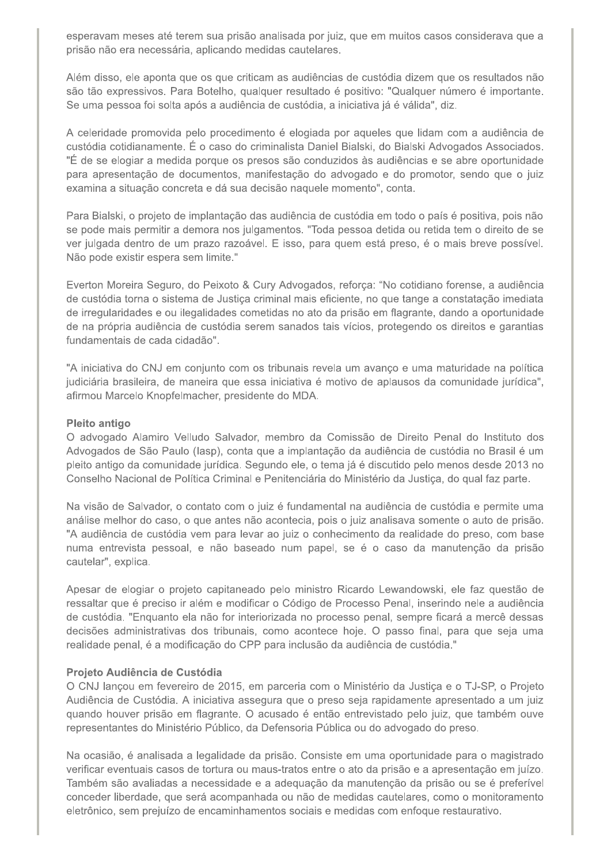esperavam meses até terem sua prisão analisada por juiz, que em muitos casos considerava que a prisão não era necessária, aplicando medidas cautelares.

Além disso, ele aponta que os que criticam as audiências de custódia dizem que os resultados não são tão expressivos. Para Botelho, qualquer resultado é positivo: "Qualquer número é importante. Se uma pessoa foi solta após a audiência de custódia, a iniciativa já é válida", diz.

A celeridade promovida pelo procedimento é elogiada por aqueles que lidam com a audiência de custódia cotidianamente. É o caso do criminalista Daniel Bialski, do Bialski Advogados Associados. "É de se elogiar a medida porque os presos são conduzidos às audiências e se abre oportunidade para apresentação de documentos, manifestação do advogado e do promotor, sendo que o juiz examina a situação concreta e dá sua decisão naquele momento", conta.

Para Bialski, o projeto de implantação das audiência de custódia em todo o país é positiva, pois não se pode mais permitir a demora nos julgamentos. "Toda pessoa detida ou retida tem o direito de se ver julgada dentro de um prazo razoável. E isso, para quem está preso, é o mais breve possível. Não pode existir espera sem limite."

Everton Moreira Seguro, do Peixoto & Cury Advogados, reforça: "No cotidiano forense, a audiência de custódia torna o sistema de Justiça criminal mais eficiente, no que tange a constatação imediata de irregularidades e ou ilegalidades cometidas no ato da prisão em flagrante, dando a oportunidade de na própria audiência de custódia serem sanados tais vícios, protegendo os direitos e garantias fundamentais de cada cidadão".

"A iniciativa do CNJ em conjunto com os tribunais revela um avanco e uma maturidade na política judiciária brasileira, de maneira que essa iniciativa é motivo de aplausos da comunidade jurídica", afirmou Marcelo Knopfelmacher, presidente do MDA.

#### **Pleito antigo**

O advogado Alamiro Velludo Salvador, membro da Comissão de Direito Penal do Instituto dos Advogados de São Paulo (Iasp), conta que a implantação da audiência de custódia no Brasil é um pleito antigo da comunidade jurídica. Segundo ele, o tema já é discutido pelo menos desde 2013 no Conselho Nacional de Política Criminal e Penitenciária do Ministério da Justiça, do qual faz parte.

Na visão de Salvador, o contato com o juiz é fundamental na audiência de custódia e permite uma análise melhor do caso, o que antes não acontecia, pois o juiz analisava somente o auto de prisão. "A audiência de custódia vem para levar ao juiz o conhecimento da realidade do preso, com base numa entrevista pessoal, e não baseado num papel, se é o caso da manutenção da prisão cautelar", explica.

Apesar de elogiar o projeto capitaneado pelo ministro Ricardo Lewandowski, ele faz questão de ressaltar que é preciso ir além e modificar o Código de Processo Penal, inserindo nele a audiência de custódia. "Enquanto ela não for interiorizada no processo penal, sempre ficará a mercê dessas decisões administrativas dos tribunais, como acontece hoje. O passo final, para que seja uma realidade penal, é a modificação do CPP para inclusão da audiência de custódia."

#### Projeto Audiência de Custódia

O CNJ lançou em fevereiro de 2015, em parceria com o Ministério da Justiça e o TJ-SP, o Projeto Audiência de Custódia. A iniciativa assegura que o preso seja rapidamente apresentado a um juiz quando houver prisão em flagrante. O acusado é então entrevistado pelo juiz, que também ouve representantes do Ministério Público, da Defensoria Pública ou do advogado do preso.

Na ocasião, é analisada a legalidade da prisão. Consiste em uma oportunidade para o magistrado verificar eventuais casos de tortura ou maus-tratos entre o ato da prisão e a apresentação em juízo. Também são avaliadas a necessidade e a adequação da manutenção da prisão ou se é preferível conceder liberdade, que será acompanhada ou não de medidas cautelares, como o monitoramento eletrônico, sem prejuízo de encaminhamentos sociais e medidas com enfoque restaurativo.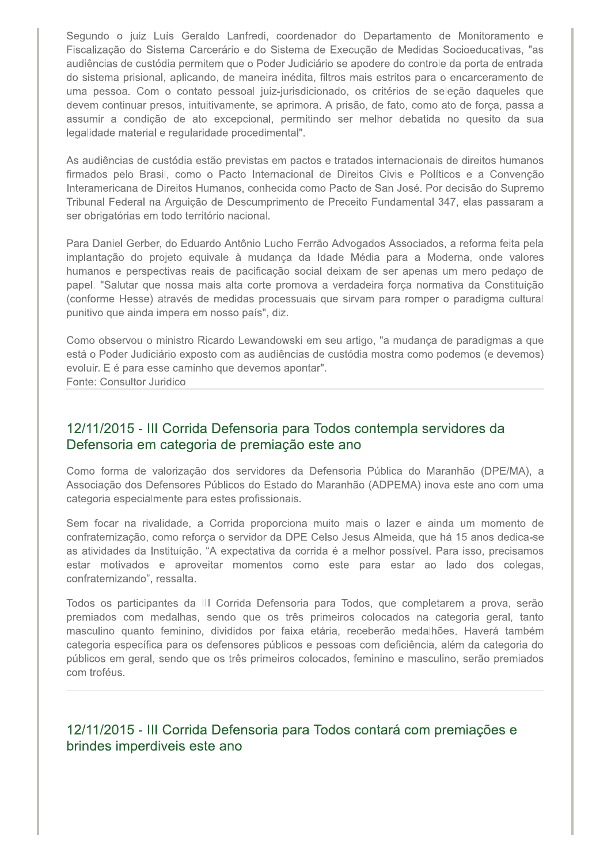Segundo o juiz Luís Geraldo Lanfredi, coordenador do Departamento de Monitoramento e Fiscalização do Sistema Carcerário e do Sistema de Execução de Medidas Socioeducativas, "as audiências de custódia permitem que o Poder Judiciário se apodere do controle da porta de entrada do sistema prisional, aplicando, de maneira inédita, filtros mais estritos para o encarceramento de uma pessoa. Com o contato pessoal juiz-jurisdicionado, os critérios de seleção daqueles que devem continuar presos, intuitivamente, se aprimora. A prisão, de fato, como ato de força, passa a assumir a condição de ato excepcional, permitindo ser melhor debatida no quesito da sua legalidade material e regularidade procedimental".

As audiências de custódia estão previstas em pactos e tratados internacionais de direitos humanos firmados pelo Brasil, como o Pacto Internacional de Direitos Civis e Políticos e a Convenção Interamericana de Direitos Humanos, conhecida como Pacto de San José. Por decisão do Supremo Tribunal Federal na Arguição de Descumprimento de Preceito Fundamental 347, elas passaram a ser obrigatórias em todo território nacional.

Para Daniel Gerber, do Eduardo Antônio Lucho Ferrão Advogados Associados, a reforma feita pela implantação do projeto equivale à mudança da Idade Média para a Moderna, onde valores humanos e perspectivas reais de pacificação social deixam de ser apenas um mero pedaço de papel. "Salutar que nossa mais alta corte promova a verdadeira força normativa da Constituição (conforme Hesse) através de medidas processuais que sirvam para romper o paradigma cultural punitivo que ainda impera em nosso país", diz.

Como observou o ministro Ricardo Lewandowski em seu artigo, "a mudança de paradigmas a que está o Poder Judiciário exposto com as audiências de custódia mostra como podemos (e devemos) evoluir. E é para esse caminho que devemos apontar". Fonte: Consultor Juridico

## 12/11/2015 - III Corrida Defensoria para Todos contempla servidores da Defensoria em categoria de premiação este ano

Como forma de valorização dos servidores da Defensoria Pública do Maranhão (DPE/MA), a Associação dos Defensores Públicos do Estado do Maranhão (ADPEMA) inova este ano com uma categoria especialmente para estes profissionais.

Sem focar na rivalidade, a Corrida proporciona muito mais o lazer e ainda um momento de confraternização, como reforça o servidor da DPE Celso Jesus Almeida, que há 15 anos dedica-se as atividades da Instituição. "A expectativa da corrida é a melhor possível. Para isso, precisamos estar motivados e aproveitar momentos como este para estar ao lado dos colegas, confraternizando", ressalta.

Todos os participantes da III Corrida Defensoria para Todos, que completarem a prova, serão premiados com medalhas, sendo que os três primeiros colocados na categoria geral, tanto masculino quanto feminino, divididos por faixa etária, receberão medalhões. Haverá também categoria específica para os defensores públicos e pessoas com deficiência, além da categoria do públicos em geral, sendo que os três primeiros colocados, feminino e masculino, serão premiados com troféus.

## 12/11/2015 - III Corrida Defensoria para Todos contará com premiações e brindes imperdiveis este ano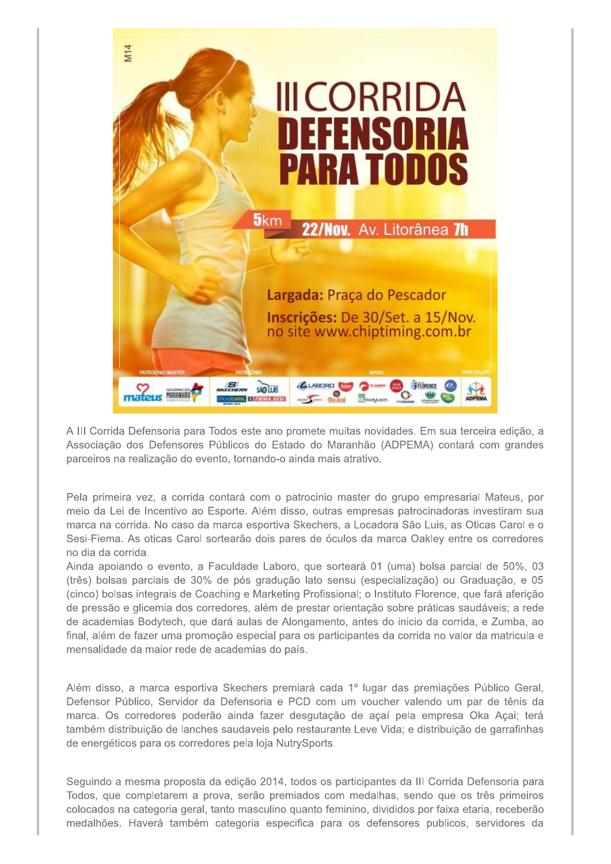

A III Corrida Defensoria para Todos este ano promete muitas novidades. Em sua terceira edição, a Associação dos Defensores Públicos do Estado do Maranhão (ADPEMA) contará com grandes parceiros na realização do evento, tornando-o ainda mais atrativo.

Pela primeira vez, a corrida contará com o patrocinio master do grupo empresarial Mateus, por meio da Lei de Incentivo ao Esporte. Além disso, outras empresas patrocinadoras investiram sua marca na corrida. No caso da marca esportiva Skechers, a Locadora São Luis, as Oticas Carol e o Sesi-Fiema. As oticas Carol sortearão dois pares de óculos da marca Oakley entre os corredores no dia da corrida.

Ainda apoiando o evento, a Faculdade Laboro, que sorteará 01 (uma) bolsa parcial de 50%, 03 (três) bolsas parciais de 30% de pós gradução lato sensu (especialização) ou Graduação, e 05 (cinco) bolsas integrais de Coaching e Marketing Profissional; o Instituto Florence, que fará aferição de pressão e glicemia dos corredores, além de prestar orientação sobre práticas saudáveis; a rede de academias Bodytech, que dará aulas de Alongamento, antes do inicio da corrida, e Zumba, ao final, além de fazer uma promoção especial para os participantes da corrida no valor da matricula e mensalidade da maior rede de academias do país.

Além disso, a marca esportiva Skechers premiará cada 1º lugar das premiações Público Geral, Defensor Público, Servidor da Defensoria e PCD com um voucher valendo um par de tênis da marca. Os corredores poderão ainda fazer desgutação de açaí pela empresa Oka Açai; terá também distribuição de lanches saudaveis pelo restaurante Leve Vida; e distribuição de garrafinhas de energéticos para os corredores pela loja NutrySports.

Seguindo a mesma proposta da edição 2014, todos os participantes da III Corrida Defensoria para Todos, que completarem a prova, serão premiados com medalhas, sendo que os três primeiros colocados na categoria geral, tanto masculino quanto feminino, divididos por faixa etaria, receberão medalhões. Haverá também categoria especifica para os defensores publicos, servidores da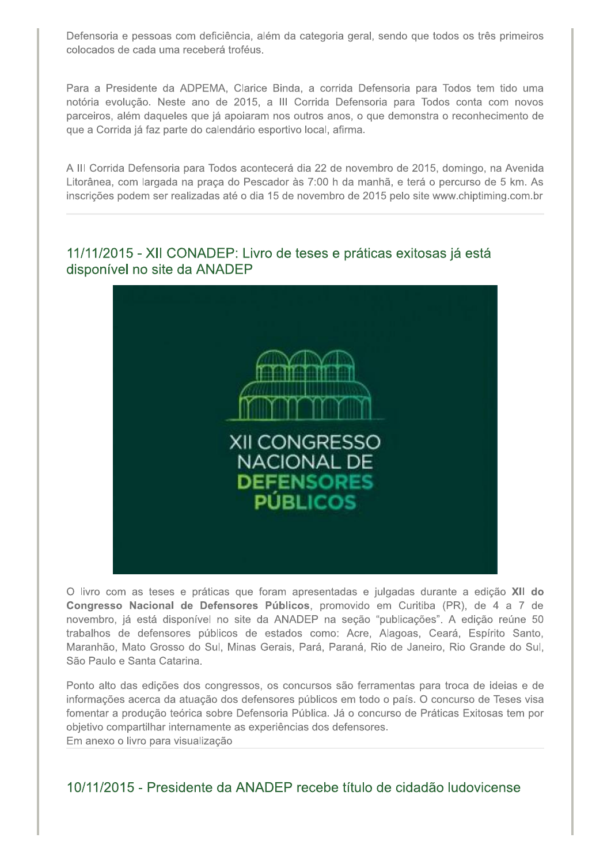Defensoria e pessoas com deficiência, além da categoria geral, sendo que todos os três primeiros colocados de cada uma receberá troféus.

Para a Presidente da ADPEMA, Clarice Binda, a corrida Defensoria para Todos tem tido uma notória evolução. Neste ano de 2015, a III Corrida Defensoria para Todos conta com novos parceiros, além daqueles que já apoiaram nos outros anos, o que demonstra o reconhecimento de que a Corrida já faz parte do calendário esportivo local, afirma.

A III Corrida Defensoria para Todos acontecerá dia 22 de novembro de 2015, domingo, na Avenida Litorânea, com largada na praça do Pescador às 7:00 h da manhã, e terá o percurso de 5 km. As inscrições podem ser realizadas até o dia 15 de novembro de 2015 pelo site www.chiptiming.com.br

### 11/11/2015 - XII CONADEP: Livro de teses e práticas exitosas já está disponível no site da ANADEP



O livro com as teses e práticas que foram apresentadas e julgadas durante a edição XII do Congresso Nacional de Defensores Públicos, promovido em Curitiba (PR), de 4 a 7 de novembro, já está disponível no site da ANADEP na seção "publicações". A edição reúne 50 trabalhos de defensores públicos de estados como: Acre, Alagoas, Ceará, Espírito Santo, Maranhão, Mato Grosso do Sul, Minas Gerais, Pará, Paraná, Rio de Janeiro, Rio Grande do Sul, São Paulo e Santa Catarina.

Ponto alto das edições dos congressos, os concursos são ferramentas para troca de ideias e de informações acerca da atuação dos defensores públicos em todo o país. O concurso de Teses visa fomentar a produção teórica sobre Defensoria Pública. Já o concurso de Práticas Exitosas tem por objetivo compartilhar internamente as experiências dos defensores. Em anexo o livro para visualização

10/11/2015 - Presidente da ANADEP recebe título de cidadão Iudovicense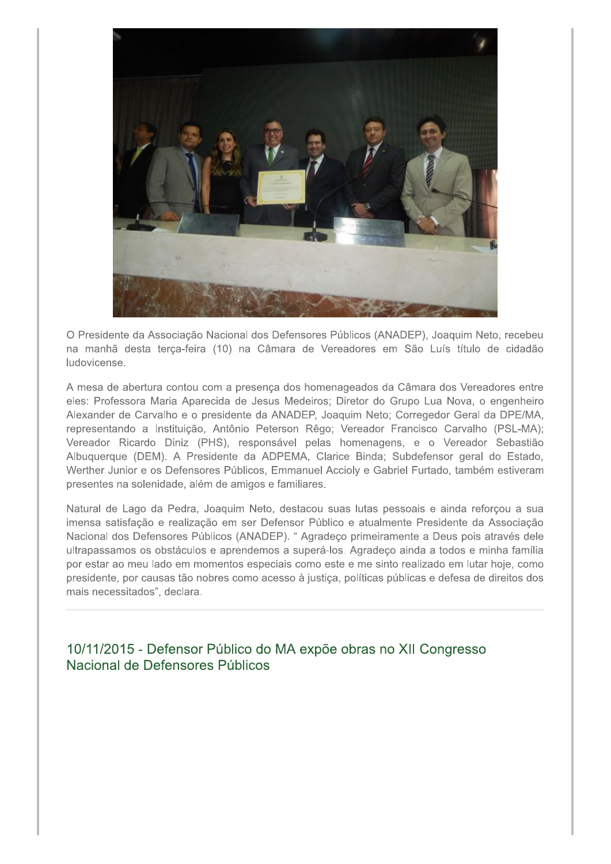

O Presidente da Associação Nacional dos Defensores Públicos (ANADEP), Joaquim Neto, recebeu na manhã desta terca-feira (10) na Câmara de Vereadores em São Luís título de cidadão ludovicense.

A mesa de abertura contou com a presença dos homenageados da Câmara dos Vereadores entre eles: Professora Maria Aparecida de Jesus Medeiros; Diretor do Grupo Lua Nova, o engenheiro Alexander de Carvalho e o presidente da ANADEP, Joaquim Neto; Corregedor Geral da DPE/MA, representando a Instituição, Antônio Peterson Rêgo; Vereador Francisco Carvalho (PSL-MA); Vereador Ricardo Diniz (PHS), responsável pelas homenagens, e o Vereador Sebastião Albuquerque (DEM). A Presidente da ADPEMA, Clarice Binda; Subdefensor geral do Estado, Werther Junior e os Defensores Públicos, Emmanuel Accioly e Gabriel Furtado, também estiveram presentes na solenidade, além de amigos e familiares.

Natural de Lago da Pedra, Joaquim Neto, destacou suas lutas pessoais e ainda reforçou a sua imensa satisfação e realização em ser Defensor Público e atualmente Presidente da Associação Nacional dos Defensores Públicos (ANADEP). " Agradeço primeiramente a Deus pois através dele ultrapassamos os obstáculos e aprendemos a superá-los. Agradeço ainda a todos e minha família por estar ao meu lado em momentos especiais como este e me sinto realizado em lutar hoje, como presidente, por causas tão nobres como acesso à justiça, políticas públicas e defesa de direitos dos mais necessitados", declara.

10/11/2015 - Defensor Público do MA expõe obras no XII Congresso Nacional de Defensores Públicos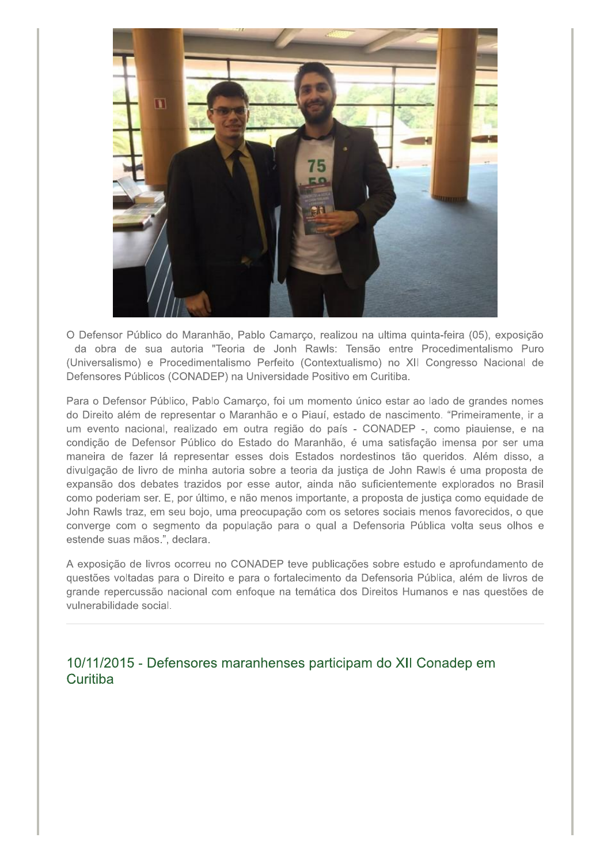

O Defensor Público do Maranhão, Pablo Camarço, realizou na ultima quinta-feira (05), exposição da obra de sua autoria "Teoria de Jonh Rawls: Tensão entre Procedimentalismo Puro (Universalismo) e Procedimentalismo Perfeito (Contextualismo) no XII Congresso Nacional de Defensores Públicos (CONADEP) na Universidade Positivo em Curitiba.

Para o Defensor Público, Pablo Camarço, foi um momento único estar ao lado de grandes nomes do Direito além de representar o Maranhão e o Piauí, estado de nascimento. "Primeiramente, ir a um evento nacional, realizado em outra região do país - CONADEP -, como piauiense, e na condição de Defensor Público do Estado do Maranhão, é uma satisfação imensa por ser uma maneira de fazer lá representar esses dois Estados nordestinos tão queridos. Além disso, a divulgação de livro de minha autoria sobre a teoria da justiça de John Rawls é uma proposta de expansão dos debates trazidos por esse autor, ainda não suficientemente explorados no Brasil como poderiam ser. E, por último, e não menos importante, a proposta de justiça como equidade de John Rawls traz, em seu bojo, uma preocupação com os setores sociais menos favorecidos, o que converge com o segmento da população para o qual a Defensoria Pública volta seus olhos e estende suas mãos.", declara.

A exposição de livros ocorreu no CONADEP teve publicações sobre estudo e aprofundamento de questões voltadas para o Direito e para o fortalecimento da Defensoria Pública, além de livros de grande repercussão nacional com enfoque na temática dos Direitos Humanos e nas questões de vulnerabilidade social.

10/11/2015 - Defensores maranhenses participam do XII Conadep em Curitiba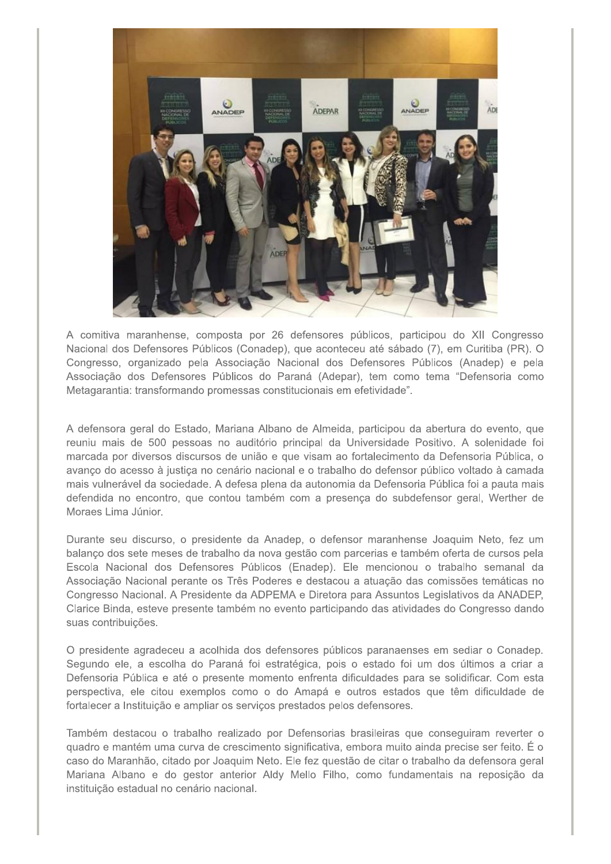

A comitiva maranhense, composta por 26 defensores públicos, participou do XII Congresso Nacional dos Defensores Públicos (Conadep), que aconteceu até sábado (7), em Curitiba (PR). O Congresso, organizado pela Associação Nacional dos Defensores Públicos (Anadep) e pela Associação dos Defensores Públicos do Paraná (Adepar), tem como tema "Defensoria como Metagarantia: transformando promessas constitucionais em efetividade".

A defensora geral do Estado, Mariana Albano de Almeida, participou da abertura do evento, que reuniu mais de 500 pessoas no auditório principal da Universidade Positivo. A solenidade foi marcada por diversos discursos de união e que visam ao fortalecimento da Defensoria Pública, o avanço do acesso à justiça no cenário nacional e o trabalho do defensor público voltado à camada mais vulnerável da sociedade. A defesa plena da autonomia da Defensoria Pública foi a pauta mais defendida no encontro, que contou também com a presença do subdefensor geral, Werther de Moraes Lima Júnior.

Durante seu discurso, o presidente da Anadep, o defensor maranhense Joaquim Neto, fez um balanço dos sete meses de trabalho da nova gestão com parcerias e também oferta de cursos pela Escola Nacional dos Defensores Públicos (Enadep). Ele mencionou o trabalho semanal da Associação Nacional perante os Três Poderes e destacou a atuação das comissões temáticas no Congresso Nacional. A Presidente da ADPEMA e Diretora para Assuntos Legislativos da ANADEP, Clarice Binda, esteve presente também no evento participando das atividades do Congresso dando suas contribuições.

O presidente agradeceu a acolhida dos defensores públicos paranaenses em sediar o Conadep. Segundo ele, a escolha do Paraná foi estratégica, pois o estado foi um dos últimos a criar a Defensoria Pública e até o presente momento enfrenta dificuldades para se solidificar. Com esta perspectiva, ele citou exemplos como o do Amapá e outros estados que têm dificuldade de fortalecer a Instituição e ampliar os serviços prestados pelos defensores.

Também destacou o trabalho realizado por Defensorias brasileiras que conseguiram reverter o quadro e mantém uma curva de crescimento significativa, embora muito ainda precise ser feito. É o caso do Maranhão, citado por Joaquim Neto. Ele fez questão de citar o trabalho da defensora geral Mariana Albano e do gestor anterior Aldy Mello Filho, como fundamentais na reposição da instituição estadual no cenário nacional.